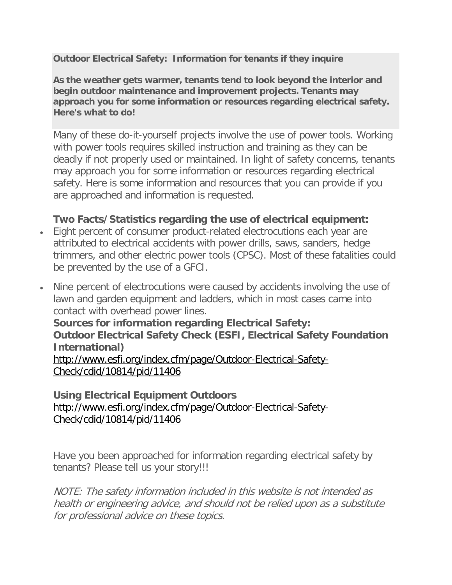**Outdoor Electrical Safety: Information for tenants if they inquire**

**As the weather gets warmer, tenants tend to look beyond the interior and begin outdoor maintenance and improvement projects. Tenants may approach you for some information or resources regarding electrical safety. Here's what to do!**

Many of these do-it-yourself projects involve the use of power tools. Working with power tools requires skilled instruction and training as they can be deadly if not properly used or maintained. In light of safety concerns, tenants may approach you for some information or resources regarding electrical safety. Here is some information and resources that you can provide if you are approached and information is requested.

## **Two Facts/Statistics regarding the use of electrical equipment:**

- Eight percent of consumer product-related electrocutions each year are attributed to electrical accidents with power drills, saws, sanders, hedge trimmers, and other electric power tools (CPSC). Most of these fatalities could be prevented by the use of a GFCI.
- Nine percent of electrocutions were caused by accidents involving the use of lawn and garden equipment and ladders, which in most cases came into contact with overhead power lines.

**Sources for information regarding Electrical Safety: Outdoor Electrical Safety Check (ESFI, Electrical Safety Foundation International)** [http://www.esfi.org/index.cfm/page/Outdoor-Electrical-Safety-](http://www.esfi.org/index.cfm/page/Outdoor-Electrical-Safety-Check/cdid/10814/pid/11406)[Check/cdid/10814/pid/11406](http://www.esfi.org/index.cfm/page/Outdoor-Electrical-Safety-Check/cdid/10814/pid/11406)

## **Using Electrical Equipment Outdoors** [http://www.esfi.org/index.cfm/page/Outdoor-Electrical-Safety-](http://www.esfi.org/index.cfm/page/Outdoor-Electrical-Safety-Check/cdid/10814/pid/11406)[Check/cdid/10814/pid/11406](http://www.esfi.org/index.cfm/page/Outdoor-Electrical-Safety-Check/cdid/10814/pid/11406)

Have you been approached for information regarding electrical safety by tenants? Please tell us your story!!!

NOTE: The safety information included in this website is not intended as health or engineering advice, and should not be relied upon as a substitute for professional advice on these topics.